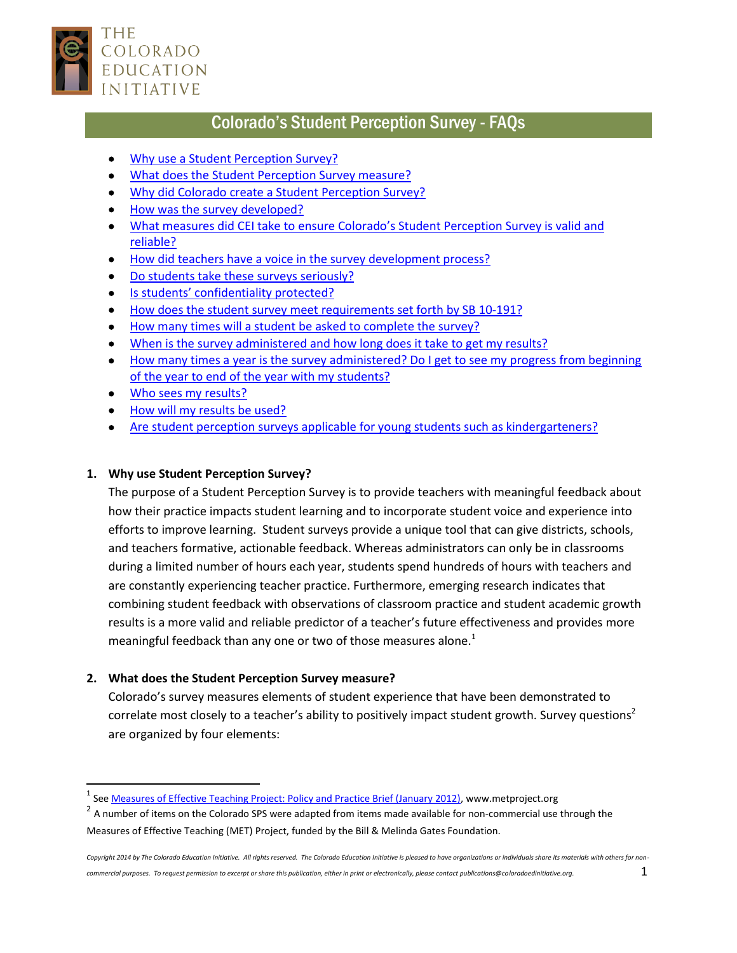

# Colorado's Student Perception Survey - FAQs

- <span id="page-0-0"></span>Why use a [Student Perception Survey?](#page-0-0)
- [What does the Student Perception Survey measure?](#page-0-1)
- . [Why did Colorado create a Student Perception Survey?](#page-1-0)
- [How was the survey developed?](#page-1-1)
- What measures did CEI [take to ensure Colorado's Student Perception Survey is valid and](#page-2-0)  [reliable?](#page-2-0)
- [How did teachers have a voice in the survey development process?](#page-2-1)
- [Do students take these surveys seriously?](#page-2-2)
- [Is students' confidentiality prot](#page-3-0)ected?
- [How does the student survey meet requirements set forth by SB](#page-3-1) 10-191?
- <span id="page-0-2"></span>[How many times will a student be asked to complete the survey?](#page-0-2)
- [When is the survey administered and how long does it take to get my results?](#page-3-2)
- How many times a year is the survey administered? Do I get to see my progress from beginning [of the year to end of the year with my students?](#page-3-3)
- [Who sees my results?](#page-4-0)
- [How will my results be used?](#page-4-1)
- [Are student perception surveys applicable for young students such as kindergarteners?](#page-4-2)

### **1. Why use Student Perception Survey?**

The purpose of a Student Perception Survey is to provide teachers with meaningful feedback about how their practice impacts student learning and to incorporate student voice and experience into efforts to improve learning. Student surveys provide a unique tool that can give districts, schools, and teachers formative, actionable feedback. Whereas administrators can only be in classrooms during a limited number of hours each year, students spend hundreds of hours with teachers and are constantly experiencing teacher practice. Furthermore, emerging research indicates that combining student feedback with observations of classroom practice and student academic growth results is a more valid and reliable predictor of a teacher's future effectiveness and provides more meaningful feedback than any one or two of those measures alone.<sup>1</sup>

## <span id="page-0-1"></span>**2. What does the Student Perception Survey measure?**

Colorado's survey measures elements of student experience that have been demonstrated to correlate most closely to a teacher's ability to positively impact student growth. Survey questions<sup>2</sup> are organized by four elements:

<sup>&</sup>lt;sup>1</sup><br><sup>1</sup> See <u>Measures of Effective Teaching Project: Policy and Practice Brief (January 2012)</u>, www.metproject.org

 $^2$  A number of items on the Colorado SPS were adapted from items made available for non-commercial use through the Measures of Effective Teaching (MET) Project, funded by the Bill & Melinda Gates Foundation.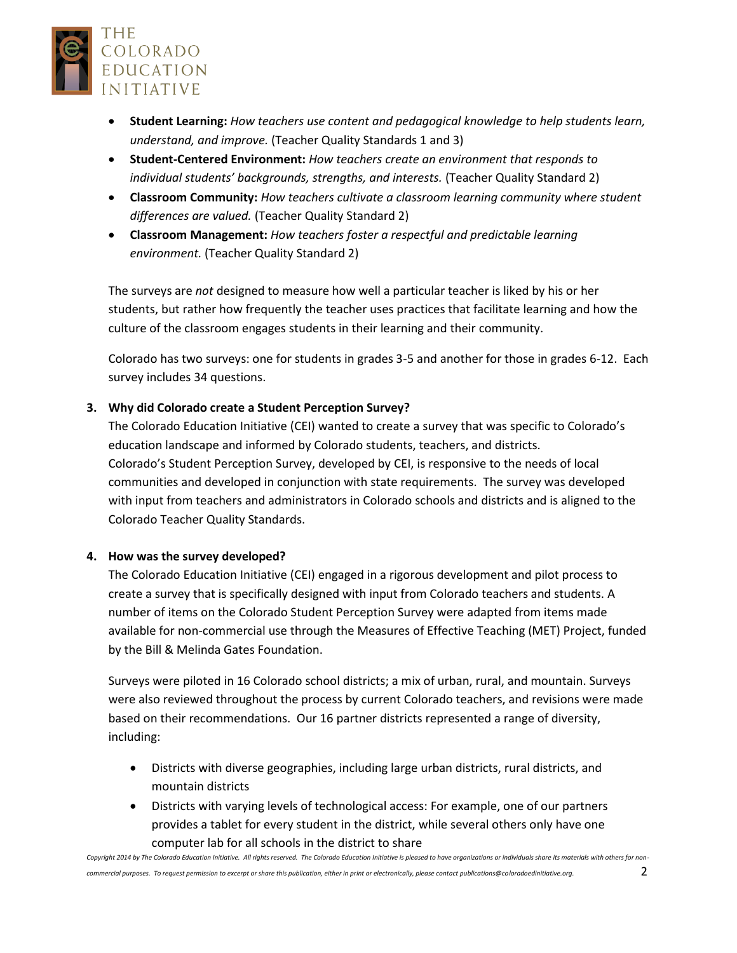

- **Student Learning:** *How teachers use content and pedagogical knowledge to help students learn, understand, and improve.* (Teacher Quality Standards 1 and 3)
- **Student-Centered Environment:** *How teachers create an environment that responds to individual students' backgrounds, strengths, and interests.* (Teacher Quality Standard 2)
- **Classroom Community:** *How teachers cultivate a classroom learning community where student differences are valued.* (Teacher Quality Standard 2)
- **Classroom Management:** *How teachers foster a respectful and predictable learning environment.* (Teacher Quality Standard 2)

The surveys are *not* designed to measure how well a particular teacher is liked by his or her students, but rather how frequently the teacher uses practices that facilitate learning and how the culture of the classroom engages students in their learning and their community.

Colorado has two surveys: one for students in grades 3-5 and another for those in grades 6-12. Each survey includes 34 questions.

## <span id="page-1-0"></span>**3. Why did Colorado create a Student Perception Survey?**

The Colorado Education Initiative (CEI) wanted to create a survey that was specific to Colorado's education landscape and informed by Colorado students, teachers, and districts. Colorado's Student Perception Survey, developed by CEI, is responsive to the needs of local communities and developed in conjunction with state requirements. The survey was developed with input from teachers and administrators in Colorado schools and districts and is aligned to the Colorado Teacher Quality Standards.

## <span id="page-1-1"></span>**4. How was the survey developed?**

The Colorado Education Initiative (CEI) engaged in a rigorous development and pilot process to create a survey that is specifically designed with input from Colorado teachers and students. A number of items on the Colorado Student Perception Survey were adapted from items made available for non-commercial use through the Measures of Effective Teaching (MET) Project, funded by the Bill & Melinda Gates Foundation.

Surveys were piloted in 16 Colorado school districts; a mix of urban, rural, and mountain. Surveys were also reviewed throughout the process by current Colorado teachers, and revisions were made based on their recommendations. Our 16 partner districts represented a range of diversity, including:

- Districts with diverse geographies, including large urban districts, rural districts, and mountain districts
- Districts with varying levels of technological access: For example, one of our partners provides a tablet for every student in the district, while several others only have one computer lab for all schools in the district to share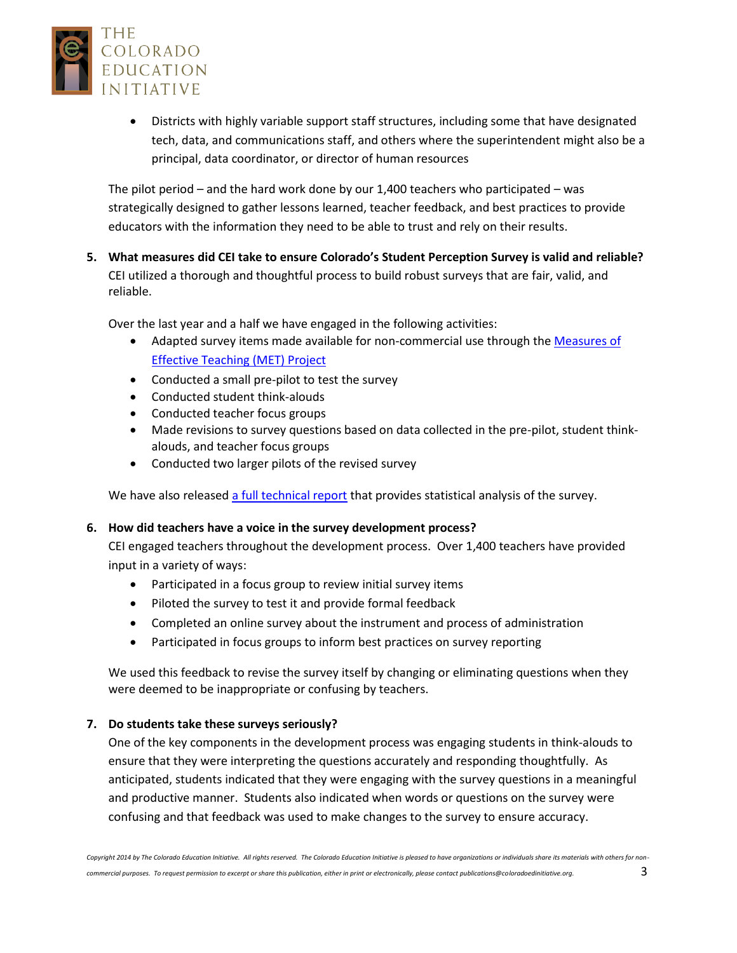

 Districts with highly variable support staff structures, including some that have designated tech, data, and communications staff, and others where the superintendent might also be a principal, data coordinator, or director of human resources

The pilot period – and the hard work done by our 1,400 teachers who participated – was strategically designed to gather lessons learned, teacher feedback, and best practices to provide educators with the information they need to be able to trust and rely on their results.

<span id="page-2-0"></span>**5. What measures did CEI take to ensure Colorado's Student Perception Survey is valid and reliable?**  CEI utilized a thorough and thoughtful process to build robust surveys that are fair, valid, and reliable.

Over the last year and a half we have engaged in the following activities:

- Adapted survey items made available for non-commercial use through the Measures of [Effective Teaching \(MET\) Project](http://www.metproject.org/index.php)
- Conducted a small pre-pilot to test the survey
- Conducted student think-alouds
- Conducted teacher focus groups
- Made revisions to survey questions based on data collected in the pre-pilot, student thinkalouds, and teacher focus groups
- Conducted two larger pilots of the revised survey

We have also release[d a full technical report](http://www.coloradoedinitiative.org/resources/studentsurvey) that provides statistical analysis of the survey.

#### <span id="page-2-1"></span>**6. How did teachers have a voice in the survey development process?**

CEI engaged teachers throughout the development process. Over 1,400 teachers have provided input in a variety of ways:

- Participated in a focus group to review initial survey items
- Piloted the survey to test it and provide formal feedback
- Completed an online survey about the instrument and process of administration
- Participated in focus groups to inform best practices on survey reporting

We used this feedback to revise the survey itself by changing or eliminating questions when they were deemed to be inappropriate or confusing by teachers.

#### <span id="page-2-2"></span>**7. Do students take these surveys seriously?**

One of the key components in the development process was engaging students in think-alouds to ensure that they were interpreting the questions accurately and responding thoughtfully. As anticipated, students indicated that they were engaging with the survey questions in a meaningful and productive manner. Students also indicated when words or questions on the survey were confusing and that feedback was used to make changes to the survey to ensure accuracy.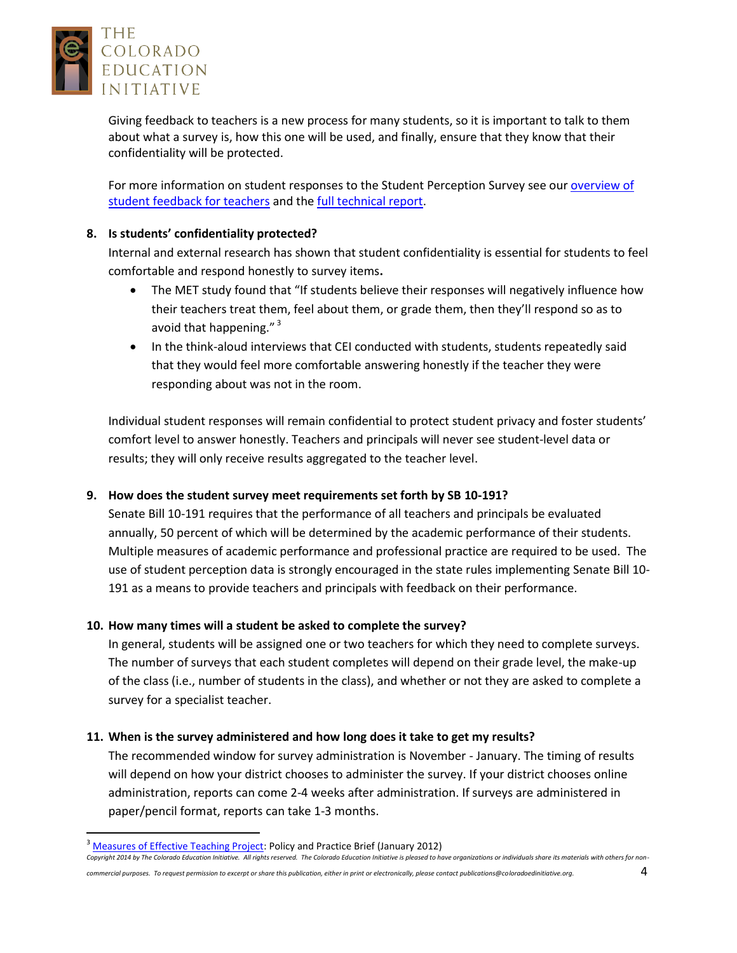

Giving feedback to teachers is a new process for many students, so it is important to talk to them about what a survey is, how this one will be used, and finally, ensure that they know that their confidentiality will be protected.

For more information on student responses to the Student Perception Survey see our [overview of](http://www.coloradoedinitiative.org/sps-resources-for-teachers)  [student feedback for teachers](http://www.coloradoedinitiative.org/sps-resources-for-teachers) and th[e full technical report.](http://www.coloradoedinitiative.org/resources/studentsurvey)

#### <span id="page-3-0"></span>**8. Is students' confidentiality protected?**

Internal and external research has shown that student confidentiality is essential for students to feel comfortable and respond honestly to survey items**.**

- The MET study found that "If students believe their responses will negatively influence how their teachers treat them, feel about them, or grade them, then they'll respond so as to avoid that happening."<sup>3</sup>
- In the think-aloud interviews that CEI conducted with students, students repeatedly said that they would feel more comfortable answering honestly if the teacher they were responding about was not in the room.

Individual student responses will remain confidential to protect student privacy and foster students' comfort level to answer honestly. Teachers and principals will never see student-level data or results; they will only receive results aggregated to the teacher level.

## <span id="page-3-1"></span>**9. How does the student survey meet requirements set forth by SB 10-191?**

Senate Bill 10-191 requires that the performance of all teachers and principals be evaluated annually, 50 percent of which will be determined by the academic performance of their students. Multiple measures of academic performance and professional practice are required to be used. The use of student perception data is strongly encouraged in the state rules implementing Senate Bill 10- 191 as a means to provide teachers and principals with feedback on their performance.

## <span id="page-3-3"></span>**10. How many times will a student be asked to complete the survey?**

In general, students will be assigned one or two teachers for which they need to complete surveys. The number of surveys that each student completes will depend on their grade level, the make-up of the class (i.e., number of students in the class), and whether or not they are asked to complete a survey for a specialist teacher.

#### <span id="page-3-2"></span>**11. When is the survey administered and how long does it take to get my results?**

The recommended window for survey administration is November - January. The timing of results will depend on how your district chooses to administer the survey. If your district chooses online administration, reports can come 2-4 weeks after administration. If surveys are administered in paper/pencil format, reports can take 1-3 months.

 $\overline{\phantom{a}}$ 

*Copyright 2014 by The Colorado Education Initiative. All rights reserved. The Colorado Education Initiative is pleased to have organizations or individuals share its materials with others for non-*

*commercial purposes. To request permission to excerpt or share this publication, either in print or electronically, please contact publications@coloradoedinitiative.org.* 4

<sup>&</sup>lt;sup>3</sup> [Measures of Effective Teaching Project:](http://www.metproject.org/) Policy and Practice Brief (January 2012)